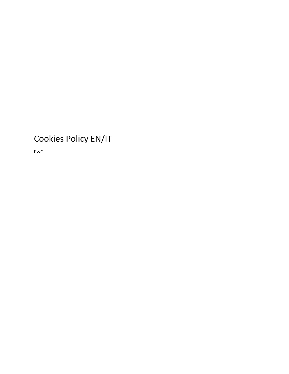# Cookies Policy EN/IT

PwC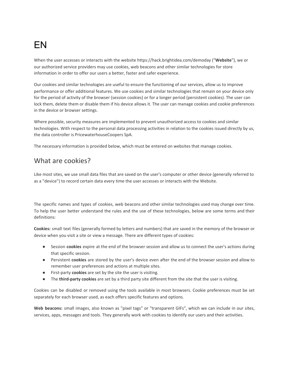# EN

When the user accesses or interacts with the website https://hack.brightidea.com/demoday ("**Website**"), we or our authorized service providers may use cookies, web beacons and other similar technologies for store information in order to offer our users a better, faster and safer experience.

Our cookies and similar technologies are useful to ensure the functioning of our services, allow us to improve performance or offer additional features. We use cookies and similar technologies that remain on your device only for the period of activity of the browser (session cookies) or for a longer period (persistent cookies). The user can lock them, delete them or disable them if his device allows it. The user can manage cookies and cookie preferences in the device or browser settings.

Where possible, security measures are implemented to prevent unauthorized access to cookies and similar technologies. With respect to the personal data processing activities in relation to the cookies issued directly by us, the data controller is PricewaterhouseCoopers SpA.

The necessary information is provided below, which must be entered on websites that manage cookies.

#### What are cookies?

Like most sites, we use small data files that are saved on the user's computer or other device (generally referred to as a "device") to record certain data every time the user accesses or interacts with the Website.

The specific names and types of cookies, web beacons and other similar technologies used may change over time. To help the user better understand the rules and the use of these technologies, below are some terms and their definitions:

**Cookies:** small text files (generally formed by letters and numbers) that are saved in the memory of the browser or device when you visit a site or view a message. There are different types of cookies:

- Session **cookies** expire at the end of the browser session and allow us to connect the user's actions during that specific session.
- Persistent **cookies** are stored by the user's device even after the end of the browser session and allow to remember user preferences and actions at multiple sites.
- First-party **cookies** are set by the site the user is visiting.
- The **third-party cookies** are set by a third party site different from the site that the user is visiting.

Cookies can be disabled or removed using the tools available in most browsers. Cookie preferences must be set separately for each browser used, as each offers specific features and options.

**Web beacons:** small images, also known as "pixel tags" or "transparent GIFs", which we can include in our sites, services, apps, messages and tools. They generally work with cookies to identify our users and their activities.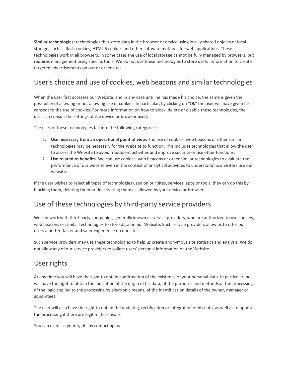**Similar technologies:** technologies that store data in the browser or device using locally shared objects or local storage, such as flash cookies, HTML 5 cookies and other software methods for web applications. These technologies work in all browsers. In some cases the use of local storage cannot be fully managed by browsers, but requires management using specific tools. We do not use these technologies to store useful information to create targeted advertisements on our or other sites.

## User's choice and use of cookies, web beacons and similar technologies

When the user first accesses our Website, and in any case until he has made his choice, the same is given the possibility of allowing or not allowing use of cookies. In particular, by clicking on "Ok" the user will have given his consent to the use of cookies. For more information on how to block, delete or disable these technologies, the user can consult the settings of the device or browser used.

The uses of these technologies fall into the following categories:

- 1. **Use necessary from an operational point of view.** The use of cookies, web beacons or other similar technologies may be necessary for the Website to function. This includes technologies that allow the user to access the Website to avoid fraudulent activities and improve security or use other functions.
- 2. **Use related to benefits.** We can use cookies, web beacons or other similar technologies to evaluate the performance of our website even in the context of analytical activities to understand how visitors use our website.

If the user wishes to reject all types of technologies used on our sites, services, apps or tools, they can do this by blocking them, deleting them or deactivating them as allowed by your device or browser.

### Use of these technologies by third-party service providers

We can work with third-party companies, generally known as service providers, who are authorized to use cookies, web beacons or similar technologies to store data on our Website. Such service providers allow us to offer our users a better, faster and safer experience on our sites.

Such service providers may use these technologies to help us create anonymous site statistics and analysis. We do not allow any of our service providers to collect users' personal information on the Website.

### User rights

At any time you will have the right to obtain confirmation of the existence of your personal data. In particular, he will have the right to obtain the indication of the origin of his data, of the purposes and methods of the processing, of the logic applied to the processing by electronic means, of the identification details of the owner, manager or appointees.

The user will also have the right to obtain the updating, rectification or integration of his data, as well as to oppose the processing if there are legitimate reasons.

You can exercise your rights by contacting us.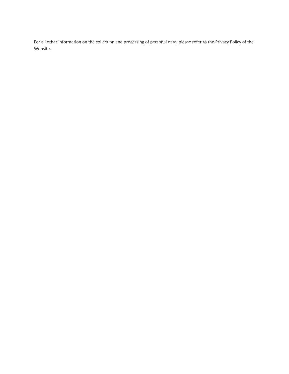For all other information on the collection and processing of personal data, please refer to the Privacy Policy of the Website.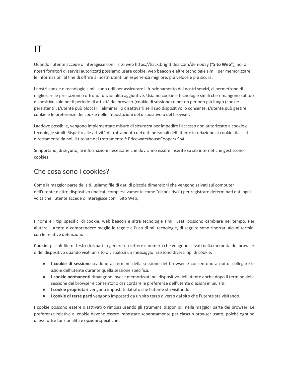# IT

Quando l'utente accede o interagisce con il sito web https://hack.brightidea.com/demoday ("**Sito Web**"), noi o i nostri fornitori di servizi autorizzati possiamo usare cookie, web beacon e altre tecnologie simili per memorizzare le informazioni al fine di offrire ai nostri utenti un'esperienza migliore, più veloce e più sicura.

I nostri cookie e tecnologie simili sono utili per assicurare il funzionamento dei nostri servizi, ci permettono di migliorare le prestazioni o offrono funzionalità aggiuntive. Usiamo cookie e tecnologie simili che rimangono sul tuo dispositivo solo per il periodo di attività del browser (cookie di sessione) o per un periodo più lungo (cookie persistenti). L'utente può bloccarli, eliminarli o disattivarli se il suo dispositivo lo consente. L'utente può gestire i cookie e le preferenze dei cookie nelle impostazioni del dispositivo o del browser.

Laddove possibile, vengono implementate misure di sicurezza per impedire l'accesso non autorizzato a cookie e tecnologie simili. Rispetto alle attività di trattamento dei dati personali dell'utente in relazione ai cookie rilasciati direttamente da noi, il titolare del trattamento è PricewaterhouseCoopers SpA.

Si riportano, di seguito, le informazioni necessarie che dovranno essere inserite su siti internet che gestiscono cookies.

### Che cosa sono i cookies?

Come la maggior parte dei siti, usiamo file di dati di piccole dimensioni che vengono salvati sul computer dell'utente o altro dispositivo (indicati complessivamente come "dispositivo") per registrare determinati dati ogni volta che l'utente accede o interagisce con il Sito Web,

I nomi e i tipi specifici di cookie, web beacon e altre tecnologie simili usati possono cambiare nel tempo. Per aiutare l'utente a comprendere meglio le regole e l'uso di tali tecnologie, di seguito sono riportati alcuni termini con le relative definizioni:

**Cookie:** piccoli file di testo (formati in genere da lettere e numeri) che vengono salvati nella memoria del browser o del dispositivo quando visiti un sito o visualizzi un messaggio. Esistono diversi tipi di cookie:

- I **cookie di sessione** scadono al termine della sessione del browser e consentono a noi di collegare le azioni dell'utente durante quella sessione specifica.
- I **cookie permanenti** rimangono invece memorizzati nel dispositivo dell'utente anche dopo il termine della sessione del browser e consentono di ricordare le preferenze dell'utente o azioni in più siti.
- I **cookie proprietari** vengono impostati dal sito che l'utente sta visitando.
- I **cookie di terze parti** vengono impostati da un sito terzo diverso dal sito che l'utente sta visitando.

I cookie possono essere disattivati o rimossi usando gli strumenti disponibili nella maggior parte dei browser. Le preferenze relative ai cookie devono essere impostate separatamente per ciascun browser usato, poiché ognuno di essi offre funzionalità e opzioni specifiche.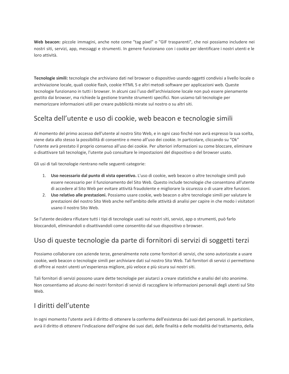**Web beacon:** piccole immagini, anche note come "tag pixel" o "GIF trasparenti", che noi possiamo includere nei nostri siti, servizi, app, messaggi e strumenti. In genere funzionano con i cookie per identificare i nostri utenti e le loro attività.

**Tecnologie simili:** tecnologie che archiviano dati nel browser o dispositivo usando oggetti condivisi a livello locale o archiviazione locale, quali cookie flash, cookie HTML 5 e altri metodi software per applicazioni web. Queste tecnologie funzionano in tutti i browser. In alcuni casi l'uso dell'archiviazione locale non può essere pienamente gestito dai browser, ma richiede la gestione tramite strumenti specifici. Non usiamo tali tecnologie per memorizzare informazioni utili per creare pubblicità mirate sul nostro o su altri siti.

### Scelta dell'utente e uso di cookie, web beacon e tecnologie simili

Al momento del primo accesso dell'utente al nostro Sito Web, e in ogni caso finché non avrà espresso la sua scelta, viene data allo stesso la possibilità di consentire o meno all'uso dei cookie. In particolare, cliccando su "Ok" l'utente avrà prestato il proprio consenso all'uso dei cookie. Per ulteriori informazioni su come bloccare, eliminare o disattivare tali tecnologie, l'utente può consultare le impostazioni del dispositivo o del browser usato.

Gli usi di tali tecnologie rientrano nelle seguenti categorie:

- 1. **Uso necessario dal punto di vista operativo.** L'uso di cookie, web beacon o altre tecnologie simili può essere necessario per il funzionamento del Sito Web. Questo include tecnologie che consentono all'utente di accedere al Sito Web per evitare attività fraudolente e migliorare la sicurezza o di usare altre funzioni.
- 2. **Uso relativo alle prestazioni.** Possiamo usare cookie, web beacon o altre tecnologie simili per valutare le prestazioni del nostro Sito Web anche nell'ambito delle attività di analisi per capire in che modo i visitatori usano il nostro Sito Web.

Se l'utente desidera rifiutare tutti i tipi di tecnologie usati sui nostri siti, servizi, app o strumenti, può farlo bloccandoli, eliminandoli o disattivandoli come consentito dal suo dispositivo o browser.

### Uso di queste tecnologie da parte di fornitori di servizi di soggetti terzi

Possiamo collaborare con aziende terze, generalmente note come fornitori di servizi, che sono autorizzate a usare cookie, web beacon o tecnologie simili per archiviare dati sul nostro Sito Web. Tali fornitori di servizi ci permettono di offrire ai nostri utenti un'esperienza migliore, più veloce e più sicura sui nostri siti.

Tali fornitori di servizi possono usare dette tecnologie per aiutarci a creare statistiche e analisi del sito anonime. Non consentiamo ad alcuno dei nostri fornitori di servizi di raccogliere le informazioni personali degli utenti sul Sito Web.

### I diritti dell'utente

In ogni momento l'utente avrà il diritto di ottenere la conferma dell'esistenza dei suoi dati personali. In particolare, avrà il diritto di ottenere l'indicazione dell'origine dei suoi dati, delle finalità e delle modalità del trattamento, della